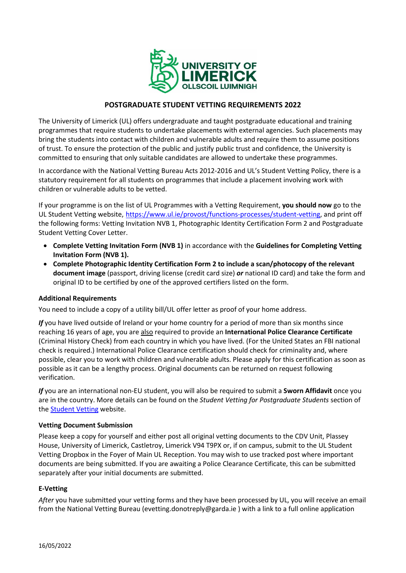

# **POSTGRADUATE STUDENT VETTING REQUIREMENTS 2022**

The University of Limerick (UL) offers undergraduate and taught postgraduate educational and training programmes that require students to undertake placements with external agencies. Such placements may bring the students into contact with children and vulnerable adults and require them to assume positions of trust. To ensure the protection of the public and justify public trust and confidence, the University is committed to ensuring that only suitable candidates are allowed to undertake these programmes.

In accordance with the National Vetting Bureau Acts 2012-2016 and UL's Student Vetting Policy, there is a statutory requirement for all students on programmes that include a placement involving work with children or vulnerable adults to be vetted.

If your programme is on the list of UL Programmes with a Vetting Requirement, **you should now** go to the UL Student Vetting website, [https://www.ul.ie/provost/functions-processes/student-vetting,](https://www.ul.ie/provost/functions-processes/student-vetting) and print off the following forms: Vetting Invitation NVB 1, Photographic Identity Certification Form 2 and Postgraduate Student Vetting Cover Letter.

- **Complete Vetting Invitation Form (NVB 1)** in accordance with the **Guidelines for Completing Vetting Invitation Form (NVB 1).**
- **Complete Photographic Identity Certification Form 2 to include a scan/photocopy of the relevant document image** (passport, driving license (credit card size) *or* national ID card) and take the form and original ID to be certified by one of the approved certifiers listed on the form.

## **Additional Requirements**

You need to include a copy of a utility bill/UL offer letter as proof of your home address.

*If* you have lived outside of Ireland or your home country for a period of more than six months since reaching 16 years of age, you are also required to provide an **International Police Clearance Certificate** (Criminal History Check) from each country in which you have lived. (For the United States an FBI national check is required.) International Police Clearance certification should check for criminality and, where possible, clear you to work with children and vulnerable adults. Please apply for this certification as soon as possible as it can be a lengthy process. Original documents can be returned on request following verification.

*If* you are an international non-EU student, you will also be required to submit a **Sworn Affidavit** once you are in the country. More details can be found on the *Student Vetting for Postgraduate Students* section of the **Student Vetting** website.

## **Vetting Document Submission**

Please keep a copy for yourself and either post all original vetting documents to the CDV Unit, Plassey House, University of Limerick, Castletroy, Limerick V94 T9PX or, if on campus, submit to the UL Student Vetting Dropbox in the Foyer of Main UL Reception. You may wish to use tracked post where important documents are being submitted. If you are awaiting a Police Clearance Certificate, this can be submitted separately after your initial documents are submitted.

## **E-Vetting**

*After* you have submitted your vetting forms and they have been processed by UL, you will receive an email from the National Vetting Bureau (evetting.donotreply@garda.ie ) with a link to a full online application